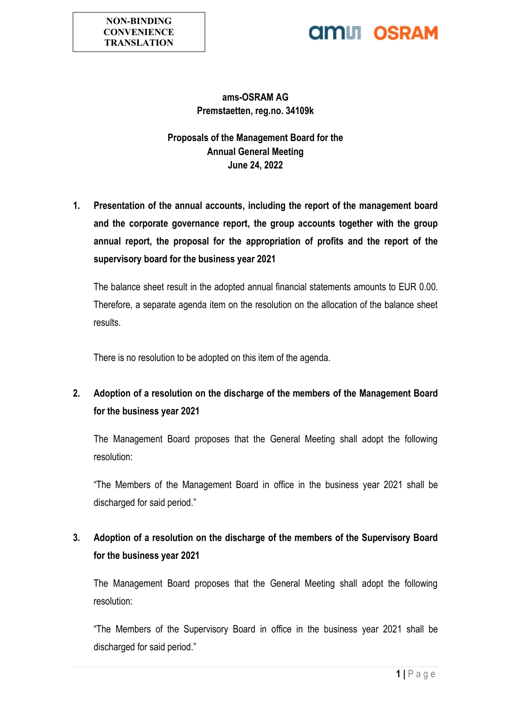# **AMIL OSRAM**

### **ams-OSRAM AG Premstaetten, reg.no. 34109k**

**Proposals of the Management Board for the Annual General Meeting June 24, 2022**

**1. Presentation of the annual accounts, including the report of the management board and the corporate governance report, the group accounts together with the group annual report, the proposal for the appropriation of profits and the report of the supervisory board for the business year 2021**

The balance sheet result in the adopted annual financial statements amounts to EUR 0.00. Therefore, a separate agenda item on the resolution on the allocation of the balance sheet results.

There is no resolution to be adopted on this item of the agenda.

# **2. Adoption of a resolution on the discharge of the members of the Management Board for the business year 2021**

The Management Board proposes that the General Meeting shall adopt the following resolution:

"The Members of the Management Board in office in the business year 2021 shall be discharged for said period."

## **3. Adoption of a resolution on the discharge of the members of the Supervisory Board for the business year 2021**

The Management Board proposes that the General Meeting shall adopt the following resolution:

"The Members of the Supervisory Board in office in the business year 2021 shall be discharged for said period."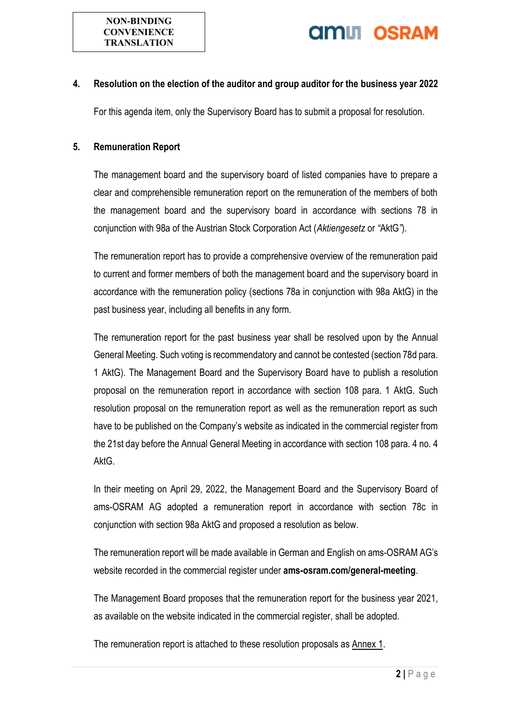

#### **4. Resolution on the election of the auditor and group auditor for the business year 2022**

For this agenda item, only the Supervisory Board has to submit a proposal for resolution.

#### **5. Remuneration Report**

The management board and the supervisory board of listed companies have to prepare a clear and comprehensible remuneration report on the remuneration of the members of both the management board and the supervisory board in accordance with sections 78 in conjunction with 98a of the Austrian Stock Corporation Act (*Aktiengesetz* or *"*AktG*"*).

The remuneration report has to provide a comprehensive overview of the remuneration paid to current and former members of both the management board and the supervisory board in accordance with the remuneration policy (sections 78a in conjunction with 98a AktG) in the past business year, including all benefits in any form.

The remuneration report for the past business year shall be resolved upon by the Annual General Meeting. Such voting is recommendatory and cannot be contested (section 78d para. 1 AktG). The Management Board and the Supervisory Board have to publish a resolution proposal on the remuneration report in accordance with section 108 para. 1 AktG. Such resolution proposal on the remuneration report as well as the remuneration report as such have to be published on the Company's website as indicated in the commercial register from the 21st day before the Annual General Meeting in accordance with section 108 para. 4 no. 4 AktG.

In their meeting on April 29, 2022, the Management Board and the Supervisory Board of ams-OSRAM AG adopted a remuneration report in accordance with section 78c in conjunction with section 98a AktG and proposed a resolution as below.

The remuneration report will be made available in German and English on ams-OSRAM AG's website recorded in the commercial register under **ams-osram.com/general-meeting**.

The Management Board proposes that the remuneration report for the business year 2021, as available on the website indicated in the commercial register, shall be adopted.

The remuneration report is attached to these resolution proposals as Annex 1.